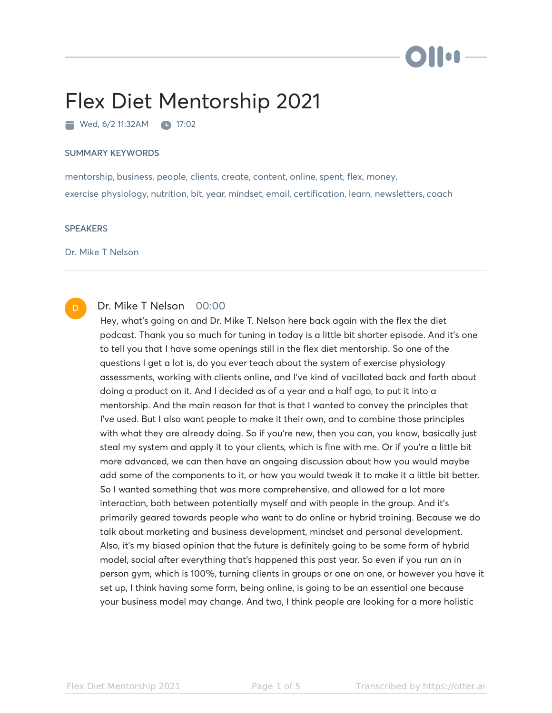

# Flex Diet Mentorship 2021

Wed, 6/2 11:32AM 17:02

### SUMMARY KEYWORDS

mentorship, business, people, clients, create, content, online, spent, flex, money, exercise physiology, nutrition, bit, year, mindset, email, certification, learn, newsletters, coach

## **SPEAKERS**

Dr. Mike T Nelson

#### Dr. Mike T Nelson 00:00 D

Hey, what's going on and Dr. Mike T. Nelson here back again with the flex the diet podcast. Thank you so much for tuning in today is a little bit shorter episode. And it's one to tell you that I have some openings still in the flex diet mentorship. So one of the questions I get a lot is, do you ever teach about the system of exercise physiology assessments, working with clients online, and I've kind of vacillated back and forth about doing a product on it. And I decided as of a year and a half ago, to put it into a mentorship. And the main reason for that is that I wanted to convey the principles that I've used. But I also want people to make it their own, and to combine those principles with what they are already doing. So if you're new, then you can, you know, basically just steal my system and apply it to your clients, which is fine with me. Or if you're a little bit more advanced, we can then have an ongoing discussion about how you would maybe add some of the components to it, or how you would tweak it to make it a little bit better. So I wanted something that was more comprehensive, and allowed for a lot more interaction, both between potentially myself and with people in the group. And it's primarily geared towards people who want to do online or hybrid training. Because we do talk about marketing and business development, mindset and personal development. Also, it's my biased opinion that the future is definitely going to be some form of hybrid model, social after everything that's happened this past year. So even if you run an in person gym, which is 100%, turning clients in groups or one on one, or however you have it set up, I think having some form, being online, is going to be an essential one because your business model may change. And two, I think people are looking for a more holistic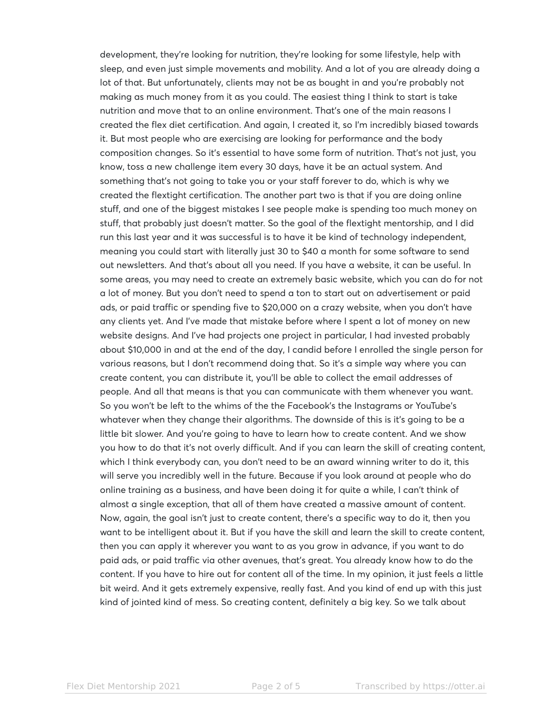development, they're looking for nutrition, they're looking for some lifestyle, help with sleep, and even just simple movements and mobility. And a lot of you are already doing a lot of that. But unfortunately, clients may not be as bought in and you're probably not making as much money from it as you could. The easiest thing I think to start is take nutrition and move that to an online environment. That's one of the main reasons I created the flex diet certification. And again, I created it, so I'm incredibly biased towards it. But most people who are exercising are looking for performance and the body composition changes. So it's essential to have some form of nutrition. That's not just, you know, toss a new challenge item every 30 days, have it be an actual system. And something that's not going to take you or your staff forever to do, which is why we created the flextight certification. The another part two is that if you are doing online stuff, and one of the biggest mistakes I see people make is spending too much money on stuff, that probably just doesn't matter. So the goal of the flextight mentorship, and I did run this last year and it was successful is to have it be kind of technology independent, meaning you could start with literally just 30 to \$40 a month for some software to send out newsletters. And that's about all you need. If you have a website, it can be useful. In some areas, you may need to create an extremely basic website, which you can do for not a lot of money. But you don't need to spend a ton to start out on advertisement or paid ads, or paid traffic or spending five to \$20,000 on a crazy website, when you don't have any clients yet. And I've made that mistake before where I spent a lot of money on new website designs. And I've had projects one project in particular, I had invested probably about \$10,000 in and at the end of the day, I candid before I enrolled the single person for various reasons, but I don't recommend doing that. So it's a simple way where you can create content, you can distribute it, you'll be able to collect the email addresses of people. And all that means is that you can communicate with them whenever you want. So you won't be left to the whims of the the Facebook's the Instagrams or YouTube's whatever when they change their algorithms. The downside of this is it's going to be a little bit slower. And you're going to have to learn how to create content. And we show you how to do that it's not overly difficult. And if you can learn the skill of creating content, which I think everybody can, you don't need to be an award winning writer to do it, this will serve you incredibly well in the future. Because if you look around at people who do online training as a business, and have been doing it for quite a while, I can't think of almost a single exception, that all of them have created a massive amount of content. Now, again, the goal isn't just to create content, there's a specific way to do it, then you want to be intelligent about it. But if you have the skill and learn the skill to create content, then you can apply it wherever you want to as you grow in advance, if you want to do paid ads, or paid traffic via other avenues, that's great. You already know how to do the content. If you have to hire out for content all of the time. In my opinion, it just feels a little bit weird. And it gets extremely expensive, really fast. And you kind of end up with this just kind of jointed kind of mess. So creating content, definitely a big key. So we talk about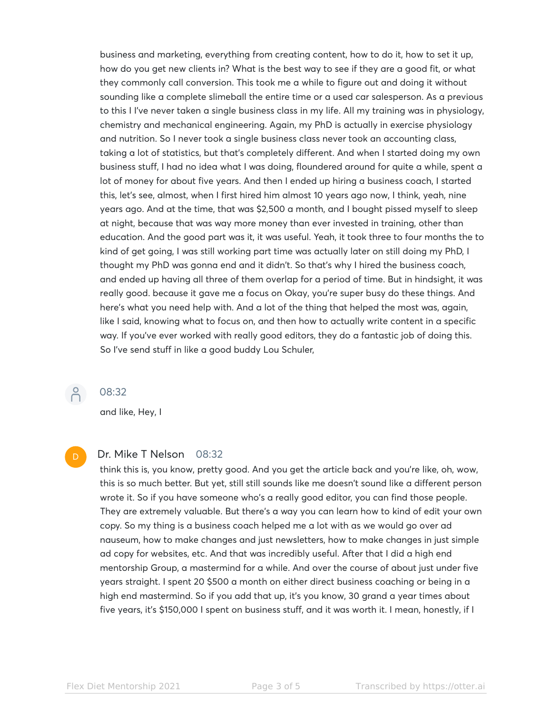business and marketing, everything from creating content, how to do it, how to set it up, how do you get new clients in? What is the best way to see if they are a good fit, or what they commonly call conversion. This took me a while to figure out and doing it without sounding like a complete slimeball the entire time or a used car salesperson. As a previous to this I I've never taken a single business class in my life. All my training was in physiology, chemistry and mechanical engineering. Again, my PhD is actually in exercise physiology and nutrition. So I never took a single business class never took an accounting class, taking a lot of statistics, but that's completely different. And when I started doing my own business stuff, I had no idea what I was doing, floundered around for quite a while, spent a lot of money for about five years. And then I ended up hiring a business coach, I started this, let's see, almost, when I first hired him almost 10 years ago now, I think, yeah, nine years ago. And at the time, that was \$2,500 a month, and I bought pissed myself to sleep at night, because that was way more money than ever invested in training, other than education. And the good part was it, it was useful. Yeah, it took three to four months the to kind of get going, I was still working part time was actually later on still doing my PhD, I thought my PhD was gonna end and it didn't. So that's why I hired the business coach, and ended up having all three of them overlap for a period of time. But in hindsight, it was really good. because it gave me a focus on Okay, you're super busy do these things. And here's what you need help with. And a lot of the thing that helped the most was, again, like I said, knowing what to focus on, and then how to actually write content in a specific way. If you've ever worked with really good editors, they do a fantastic job of doing this. So I've send stuff in like a good buddy Lou Schuler,

 $\beta$ 

## 08:32

and like, Hey, I

# D

## Dr. Mike T Nelson 08:32

think this is, you know, pretty good. And you get the article back and you're like, oh, wow, this is so much better. But yet, still still sounds like me doesn't sound like a different person wrote it. So if you have someone who's a really good editor, you can find those people. They are extremely valuable. But there's a way you can learn how to kind of edit your own copy. So my thing is a business coach helped me a lot with as we would go over ad nauseum, how to make changes and just newsletters, how to make changes in just simple ad copy for websites, etc. And that was incredibly useful. After that I did a high end mentorship Group, a mastermind for a while. And over the course of about just under five years straight. I spent 20 \$500 a month on either direct business coaching or being in a high end mastermind. So if you add that up, it's you know, 30 grand a year times about five years, it's \$150,000 I spent on business stuff, and it was worth it. I mean, honestly, if I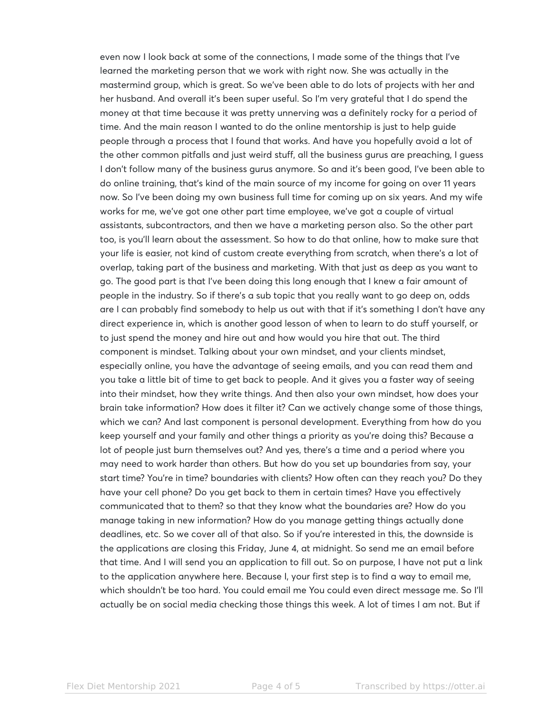even now I look back at some of the connections, I made some of the things that I've learned the marketing person that we work with right now. She was actually in the mastermind group, which is great. So we've been able to do lots of projects with her and her husband. And overall it's been super useful. So I'm very grateful that I do spend the money at that time because it was pretty unnerving was a definitely rocky for a period of time. And the main reason I wanted to do the online mentorship is just to help guide people through a process that I found that works. And have you hopefully avoid a lot of the other common pitfalls and just weird stuff, all the business gurus are preaching, I guess I don't follow many of the business gurus anymore. So and it's been good, I've been able to do online training, that's kind of the main source of my income for going on over 11 years now. So I've been doing my own business full time for coming up on six years. And my wife works for me, we've got one other part time employee, we've got a couple of virtual assistants, subcontractors, and then we have a marketing person also. So the other part too, is you'll learn about the assessment. So how to do that online, how to make sure that your life is easier, not kind of custom create everything from scratch, when there's a lot of overlap, taking part of the business and marketing. With that just as deep as you want to go. The good part is that I've been doing this long enough that I knew a fair amount of people in the industry. So if there's a sub topic that you really want to go deep on, odds are I can probably find somebody to help us out with that if it's something I don't have any direct experience in, which is another good lesson of when to learn to do stuff yourself, or to just spend the money and hire out and how would you hire that out. The third component is mindset. Talking about your own mindset, and your clients mindset, especially online, you have the advantage of seeing emails, and you can read them and you take a little bit of time to get back to people. And it gives you a faster way of seeing into their mindset, how they write things. And then also your own mindset, how does your brain take information? How does it filter it? Can we actively change some of those things, which we can? And last component is personal development. Everything from how do you keep yourself and your family and other things a priority as you're doing this? Because a lot of people just burn themselves out? And yes, there's a time and a period where you may need to work harder than others. But how do you set up boundaries from say, your start time? You're in time? boundaries with clients? How often can they reach you? Do they have your cell phone? Do you get back to them in certain times? Have you effectively communicated that to them? so that they know what the boundaries are? How do you manage taking in new information? How do you manage getting things actually done deadlines, etc. So we cover all of that also. So if you're interested in this, the downside is the applications are closing this Friday, June 4, at midnight. So send me an email before that time. And I will send you an application to fill out. So on purpose, I have not put a link to the application anywhere here. Because I, your first step is to find a way to email me, which shouldn't be too hard. You could email me You could even direct message me. So I'll actually be on social media checking those things this week. A lot of times I am not. But if